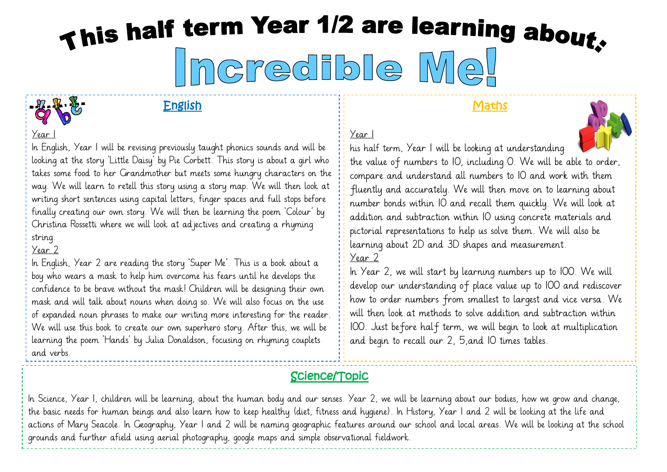# This half term Year 1/2 are learning about. credible Mel

Year 1

#### English

#### **Maths**



In English, Year 1 will be revising previously taught phonics sounds and will be looking at the story 'Little Daisy' by Pie Corbett. This story is about a girl who takes some food to her Grandmother but meets some hungry characters on the way. We will learn to retell this story using a story map. We will then look at writing short sentences using capital letters, finger spaces and full stops before finally creating our own story. We will then be learning the poem 'Colour' by Christina Rossetti where we will look at adjectives and creating a rhyming string.

#### Year 2

In English, Year 2 are reading the story 'Super Me'. This is a book about a boy who wears a mask to help him overcome his fears until he develops the confidence to be brave without the mask! Children will be designing their own mask and will talk about nouns when doing so. We will also focus on the use of expanded noun phrases to make our writing more interesting for the reader. We will use this book to create our own superhero story. After this, we will be learning the poem 'Hands' by Julia Donaldson, focusing on rhyming couplets and verbs.

his half term, Year 1 will be looking at understanding the value of numbers to 10, including 0. We will be able to order, compare and understand all numbers to 10 and work with them fluently and accurately. We will then move on to learning about number bonds within 10 and recall them quickly. We will look at addition and subtraction within 10 using concrete materials and pictorial representations to help us solve them. We will also be learning about 2D and 3D shapes and measurement.

#### Year 2

Year 1

In Year 2, we will start by learning numbers up to IOO. We will develop our understanding of place value up to 100 and rediscover how to order numbers from smallest to largest and vice versa. We will then look at methods to solve addition and subtraction within 100. Just before half term, we will begin to look at multiplication and begin to recall our 2, 5,and 10 times tables.

# Science/Topic

In Science, Year 1, children will be learning, about the human body and our senses. Year 2, we will be learning about our bodies, how we grow and change, the basic needs for human beings and also learn how to keep healthy (diet, fitness and hygiene). In History, Year 1 and 2 will be looking at the life and actions of Mary Seacole. In Geography, Year 1 and 2 will be naming geographic features around our school and local areas. We will be looking at the school grounds and further afield using aerial photography, google maps and simple observational fieldwork.